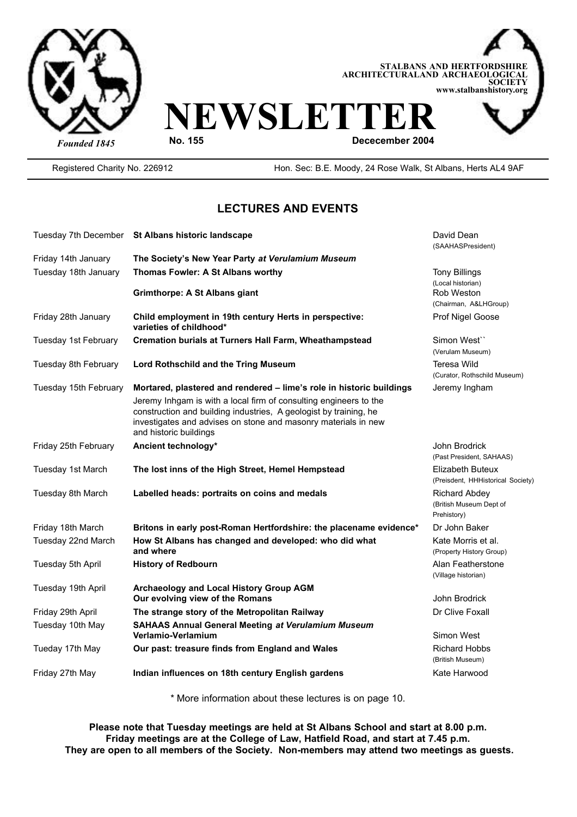



Registered Charity No. 226912 Hon. Sec: B.E. Moody, 24 Rose Walk, St Albans, Herts AL4 9AF

### **LECTURES AND EVENTS**

| Friday 14th January<br>The Society's New Year Party at Verulamium Museum<br>Tuesday 18th January<br>Thomas Fowler: A St Albans worthy<br><b>Grimthorpe: A St Albans giant</b><br>Friday 28th January<br>Child employment in 19th century Herts in perspective:<br>varieties of childhood*<br>Tuesday 1st February<br><b>Cremation burials at Turners Hall Farm, Wheathampstead</b><br>Simon West" | (SAAHASPresident)<br><b>Tony Billings</b><br>(Local historian)<br>Rob Weston<br>(Chairman, A&LHGroup)<br>Prof Nigel Goose |
|---------------------------------------------------------------------------------------------------------------------------------------------------------------------------------------------------------------------------------------------------------------------------------------------------------------------------------------------------------------------------------------------------|---------------------------------------------------------------------------------------------------------------------------|
|                                                                                                                                                                                                                                                                                                                                                                                                   |                                                                                                                           |
|                                                                                                                                                                                                                                                                                                                                                                                                   |                                                                                                                           |
|                                                                                                                                                                                                                                                                                                                                                                                                   |                                                                                                                           |
|                                                                                                                                                                                                                                                                                                                                                                                                   |                                                                                                                           |
|                                                                                                                                                                                                                                                                                                                                                                                                   |                                                                                                                           |
|                                                                                                                                                                                                                                                                                                                                                                                                   |                                                                                                                           |
|                                                                                                                                                                                                                                                                                                                                                                                                   |                                                                                                                           |
|                                                                                                                                                                                                                                                                                                                                                                                                   |                                                                                                                           |
|                                                                                                                                                                                                                                                                                                                                                                                                   | (Verulam Museum)                                                                                                          |
| Tuesday 8th February<br>Lord Rothschild and the Tring Museum                                                                                                                                                                                                                                                                                                                                      | <b>Teresa Wild</b>                                                                                                        |
|                                                                                                                                                                                                                                                                                                                                                                                                   | (Curator, Rothschild Museum)                                                                                              |
| Tuesday 15th February<br>Mortared, plastered and rendered - lime's role in historic buildings                                                                                                                                                                                                                                                                                                     | Jeremy Ingham                                                                                                             |
| Jeremy Inhgam is with a local firm of consulting engineers to the                                                                                                                                                                                                                                                                                                                                 |                                                                                                                           |
| construction and building industries, A geologist by training, he                                                                                                                                                                                                                                                                                                                                 |                                                                                                                           |
| investigates and advises on stone and masonry materials in new                                                                                                                                                                                                                                                                                                                                    |                                                                                                                           |
| and historic buildings                                                                                                                                                                                                                                                                                                                                                                            |                                                                                                                           |
| Friday 25th February<br>Ancient technology*                                                                                                                                                                                                                                                                                                                                                       | John Brodrick                                                                                                             |
|                                                                                                                                                                                                                                                                                                                                                                                                   | (Past President, SAHAAS)                                                                                                  |
| Tuesday 1st March<br>The lost inns of the High Street, Hemel Hempstead                                                                                                                                                                                                                                                                                                                            | Elizabeth Buteux                                                                                                          |
|                                                                                                                                                                                                                                                                                                                                                                                                   | (Preisdent, HHHistorical Society)                                                                                         |
| Tuesday 8th March<br>Labelled heads: portraits on coins and medals                                                                                                                                                                                                                                                                                                                                | <b>Richard Abdey</b>                                                                                                      |
|                                                                                                                                                                                                                                                                                                                                                                                                   | (British Museum Dept of                                                                                                   |
| Prehistory)<br>Friday 18th March<br>Britons in early post-Roman Hertfordshire: the placename evidence*                                                                                                                                                                                                                                                                                            | Dr John Baker                                                                                                             |
| Tuesday 22nd March<br>How St Albans has changed and developed: who did what                                                                                                                                                                                                                                                                                                                       | Kate Morris et al.                                                                                                        |
| and where                                                                                                                                                                                                                                                                                                                                                                                         | (Property History Group)                                                                                                  |
| Tuesday 5th April<br><b>History of Redbourn</b>                                                                                                                                                                                                                                                                                                                                                   | Alan Featherstone                                                                                                         |
|                                                                                                                                                                                                                                                                                                                                                                                                   | (Village historian)                                                                                                       |
| Tuesday 19th April<br>Archaeology and Local History Group AGM                                                                                                                                                                                                                                                                                                                                     |                                                                                                                           |
| Our evolving view of the Romans                                                                                                                                                                                                                                                                                                                                                                   | John Brodrick                                                                                                             |
| Friday 29th April<br>The strange story of the Metropolitan Railway                                                                                                                                                                                                                                                                                                                                | Dr Clive Foxall                                                                                                           |
| Tuesday 10th May<br><b>SAHAAS Annual General Meeting at Verulamium Museum</b>                                                                                                                                                                                                                                                                                                                     |                                                                                                                           |
| Verlamio-Verlamium                                                                                                                                                                                                                                                                                                                                                                                | Simon West                                                                                                                |
| Tueday 17th May<br>Our past: treasure finds from England and Wales                                                                                                                                                                                                                                                                                                                                | <b>Richard Hobbs</b>                                                                                                      |
|                                                                                                                                                                                                                                                                                                                                                                                                   | (British Museum)                                                                                                          |
| Friday 27th May<br>Indian influences on 18th century English gardens                                                                                                                                                                                                                                                                                                                              | Kate Harwood                                                                                                              |
|                                                                                                                                                                                                                                                                                                                                                                                                   |                                                                                                                           |

\* More information about these lectures is on page 10.

**Please note that Tuesday meetings are held at St Albans School and start at 8.00 p.m. Friday meetings are at the College of Law, Hatfield Road, and start at 7.45 p.m. They are open to all members of the Society. Non-members may attend two meetings as guests.**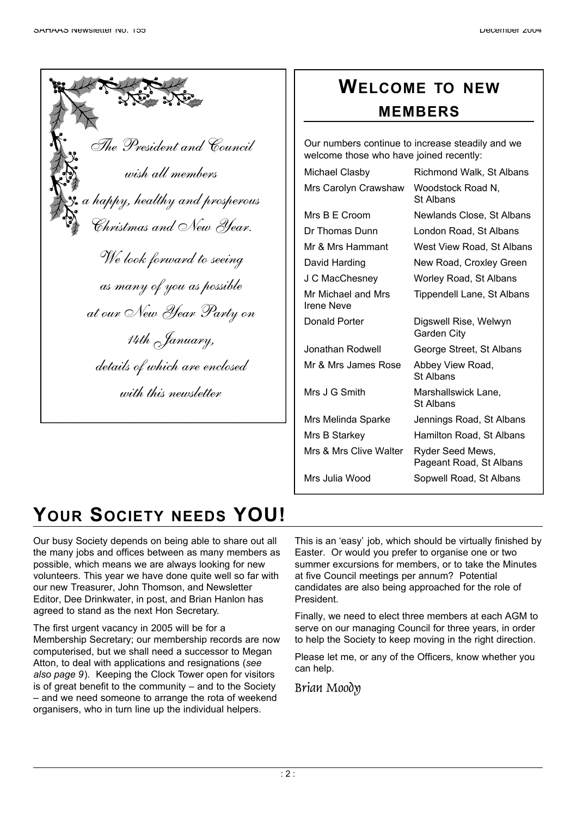| The President and Council                                  |
|------------------------------------------------------------|
| wish all members                                           |
| a happy, healthy and prosperous<br>Christmas and New Year. |
| We look forward to seeing                                  |
| as many of you as possible                                 |
| at our New Year Party on                                   |
| 14th January,                                              |
| details of which are enclosed                              |
| with this newsletter                                       |

### **WELCOME TO NEW M E M B E R S**

Our numbers continue to increase steadily and we welcome those who have joined recently:

| Michael Clasby                          | Richmond Walk, St Albans                    |
|-----------------------------------------|---------------------------------------------|
| Mrs Carolyn Crawshaw                    | Woodstock Road N,<br>St Albans              |
| Mrs B E Croom                           | Newlands Close, St Albans                   |
| Dr Thomas Dunn                          | London Road, St Albans                      |
| Mr & Mrs Hammant                        | West View Road, St Albans                   |
| David Harding                           | New Road, Croxley Green                     |
| J C MacChesney                          | Worley Road, St Albans                      |
| Mr Michael and Mrs<br><b>Irene Neve</b> | Tippendell Lane, St Albans                  |
| Donald Porter                           | Digswell Rise, Welwyn<br>Garden City        |
| Jonathan Rodwell                        | George Street, St Albans                    |
| Mr & Mrs James Rose                     | Abbey View Road,<br>St Albans               |
| Mrs J G Smith                           | Marshallswick Lane,<br><b>St Albans</b>     |
| Mrs Melinda Sparke                      | Jennings Road, St Albans                    |
| Mrs B Starkey                           | Hamilton Road, St Albans                    |
| Mrs & Mrs Clive Walter                  | Ryder Seed Mews,<br>Pageant Road, St Albans |
| Mrs Julia Wood                          | Sopwell Road, St Albans                     |
|                                         |                                             |

# YOUR SOCIETY NEEDS YOU!

Our busy Society depends on being able to share out all the many jobs and offices between as many members as possible, which means we are always looking for new volunteers. This year we have done quite well so far with our new Treasurer, John Thomson, and Newsletter Editor, Dee Drinkwater, in post, and Brian Hanlon has agreed to stand as the next Hon Secretary.

The first urgent vacancy in 2005 will be for a Membership Secretary; our membership records are now computerised, but we shall need a successor to Megan Atton, to deal with applications and resignations (*see also page 9*). Keeping the Clock Tower open for visitors is of great benefit to the community – and to the Society – and we need someone to arrange the rota of weekend organisers, who in turn line up the individual helpers.

This is an 'easy' job, which should be virtually finished by Easter. Or would you prefer to organise one or two summer excursions for members, or to take the Minutes at five Council meetings per annum? Potential candidates are also being approached for the role of President.

Finally, we need to elect three members at each AGM to serve on our managing Council for three years, in order to help the Society to keep moving in the right direction.

Please let me, or any of the Officers, know whether you can help.

Brian Moody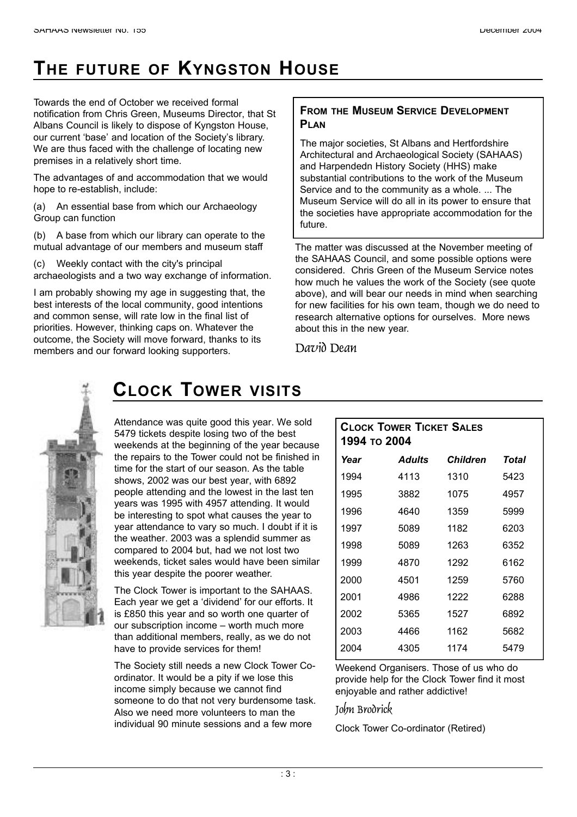## **THE FUTURE OF KYNGSTON HOUSE**

Towards the end of October we received formal notification from Chris Green, Museums Director, that St Albans Council is likely to dispose of Kyngston House, our current 'base' and location of the Society's library. We are thus faced with the challenge of locating new premises in a relatively short time.

The advantages of and accommodation that we would hope to re-establish, include:

(a) An essential base from which our Archaeology Group can function

(b) A base from which our library can operate to the mutual advantage of our members and museum staff

Weekly contact with the city's principal archaeologists and a two way exchange of information.

I am probably showing my age in suggesting that, the best interests of the local community, good intentions and common sense, will rate low in the final list of priorities. However, thinking caps on. Whatever the outcome, the Society will move forward, thanks to its members and our forward looking supporters.

#### **FROM THE MUSEUM SERVICE DEVELOPMENT PLAN**

The major societies, St Albans and Hertfordshire Architectural and Archaeological Society (SAHAAS) and Harpendedn History Society (HHS) make substantial contributions to the work of the Museum Service and to the community as a whole. ... The Museum Service will do all in its power to ensure that the societies have appropriate accommodation for the future.

The matter was discussed at the November meeting of the SAHAAS Council, and some possible options were considered. Chris Green of the Museum Service notes how much he values the work of the Society (see quote above), and will bear our needs in mind when searching for new facilities for his own team, though we do need to research alternative options for ourselves. More news about this in the new year.

David Dean



### **CLOCK TOWER VISITS**

Attendance was quite good this year. We sold 5479 tickets despite losing two of the best weekends at the beginning of the year because the repairs to the Tower could not be finished in time for the start of our season. As the table shows, 2002 was our best year, with 6892 people attending and the lowest in the last ten years was 1995 with 4957 attending. It would be interesting to spot what causes the year to year attendance to vary so much. I doubt if it is the weather. 2003 was a splendid summer as compared to 2004 but, had we not lost two weekends, ticket sales would have been similar this year despite the poorer weather.

The Clock Tower is important to the SAHAAS. Each year we get a 'dividend' for our efforts. It is £850 this year and so worth one quarter of our subscription income – worth much more than additional members, really, as we do not have to provide services for them!

The Society still needs a new Clock Tower Coordinator. It would be a pity if we lose this income simply because we cannot find someone to do that not very burdensome task. Also we need more volunteers to man the individual 90 minute sessions and a few more

| <b>CLOCK TOWER TICKET SALES</b><br>1994 то 2004 |               |                 |       |  |  |
|-------------------------------------------------|---------------|-----------------|-------|--|--|
| Year                                            | <b>Adults</b> | <b>Children</b> | Total |  |  |
| 1994                                            | 4113          | 1310            | 5423  |  |  |
| 1995                                            | 3882          | 1075            | 4957  |  |  |
| 1996                                            | 4640          | 1359            | 5999  |  |  |
| 1997                                            | 5089          | 1182            | 6203  |  |  |
| 1998                                            | 5089          | 1263            | 6352  |  |  |
| 1999                                            | 4870          | 1292            | 6162  |  |  |
| 2000                                            | 4501          | 1259            | 5760  |  |  |
| 2001                                            | 4986          | 1222            | 6288  |  |  |
| 2002                                            | 5365          | 1527            | 6892  |  |  |
| 2003                                            | 4466          | 1162            | 5682  |  |  |
| 2004                                            | 4305          | 1174            | 5479  |  |  |

Weekend Organisers. Those of us who do provide help for the Clock Tower find it most enjoyable and rather addictive!

#### John Brodrick

Clock Tower Co-ordinator (Retired)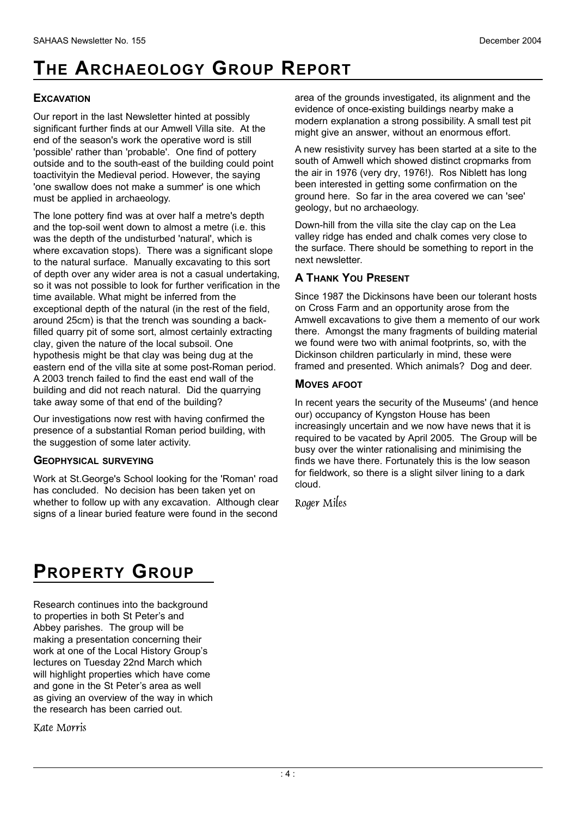# **THE ARCHAEOLOGY GROUP REPORT**

#### **EXCAVATION**

Our report in the last Newsletter hinted at possibly significant further finds at our Amwell Villa site. At the end of the season's work the operative word is still 'possible' rather than 'probable'. One find of pottery outside and to the south-east of the building could point toactivityin the Medieval period. However, the saying 'one swallow does not make a summer' is one which must be applied in archaeology.

The lone pottery find was at over half a metre's depth and the top-soil went down to almost a metre (i.e. this was the depth of the undisturbed 'natural', which is where excavation stops). There was a significant slope to the natural surface. Manually excavating to this sort of depth over any wider area is not a casual undertaking, so it was not possible to look for further verification in the time available. What might be inferred from the exceptional depth of the natural (in the rest of the field, around 25cm) is that the trench was sounding a backfilled quarry pit of some sort, almost certainly extracting clay, given the nature of the local subsoil. One hypothesis might be that clay was being dug at the eastern end of the villa site at some post-Roman period. A 2003 trench failed to find the east end wall of the building and did not reach natural. Did the quarrying take away some of that end of the building?

Our investigations now rest with having confirmed the presence of a substantial Roman period building, with the suggestion of some later activity.

#### **GEOPHYSICAL SURVEYING**

Work at St.George's School looking for the 'Roman' road has concluded. No decision has been taken yet on whether to follow up with any excavation. Although clear signs of a linear buried feature were found in the second

area of the grounds investigated, its alignment and the evidence of once-existing buildings nearby make a modern explanation a strong possibility. A small test pit might give an answer, without an enormous effort.

A new resistivity survey has been started at a site to the south of Amwell which showed distinct cropmarks from the air in 1976 (very dry, 1976!). Ros Niblett has long been interested in getting some confirmation on the ground here. So far in the area covered we can 'see' geology, but no archaeology.

Down-hill from the villa site the clay cap on the Lea valley ridge has ended and chalk comes very close to the surface. There should be something to report in the next newsletter.

#### **A THANK YOU PRESENT**

Since 1987 the Dickinsons have been our tolerant hosts on Cross Farm and an opportunity arose from the Amwell excavations to give them a memento of our work there. Amongst the many fragments of building material we found were two with animal footprints, so, with the Dickinson children particularly in mind, these were framed and presented. Which animals? Dog and deer.

#### **MOVES AFOOT**

In recent years the security of the Museums' (and hence our) occupancy of Kyngston House has been increasingly uncertain and we now have news that it is required to be vacated by April 2005. The Group will be busy over the winter rationalising and minimising the finds we have there. Fortunately this is the low season for fieldwork, so there is a slight silver lining to a dark cloud.

Roger Miles

## **PROPERTY GROUP**

Research continues into the background to properties in both St Peter's and Abbey parishes. The group will be making a presentation concerning their work at one of the Local History Group's lectures on Tuesday 22nd March which will highlight properties which have come and gone in the St Peter's area as well as giving an overview of the way in which the research has been carried out.

Kate Morris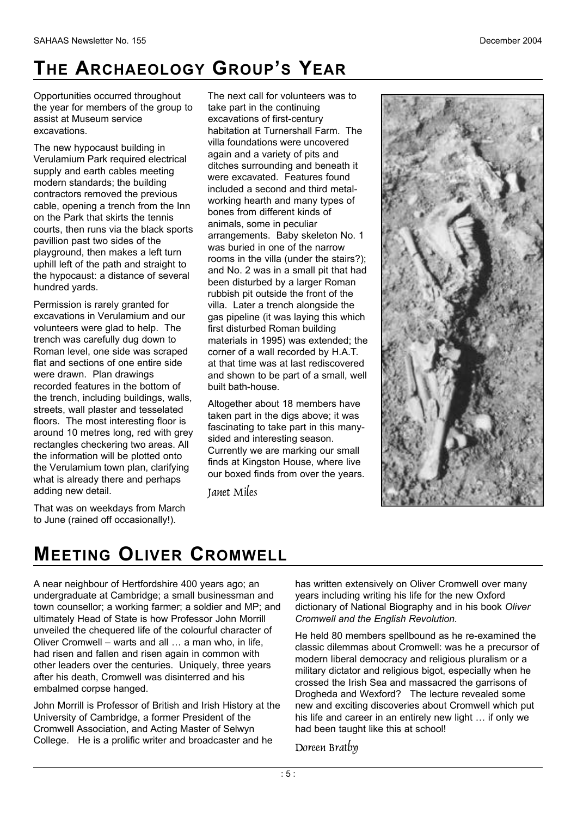# **TH E AR C H A E O L O G Y GR O U P'S YE A R**

Opportunities occurred throughout the year for members of the group to assist at Museum service excavations.

The new hypocaust building in Verulamium Park required electrical supply and earth cables meeting modern standards; the building contractors removed the previous cable, opening a trench from the Inn on the Park that skirts the tennis courts, then runs via the black sports pavillion past two sides of the playground, then makes a left turn uphill left of the path and straight to the hypocaust: a distance of several hundred yards.

Permission is rarely granted for excavations in Verulamium and our volunteers were glad to help. The trench was carefully dug down to Roman level, one side was scraped flat and sections of one entire side were drawn. Plan drawings recorded features in the bottom of the trench, including buildings, walls, streets, wall plaster and tesselated floors. The most interesting floor is around 10 metres long, red with grey rectangles checkering two areas. All the information will be plotted onto the Verulamium town plan, clarifying what is already there and perhaps adding new detail.

That was on weekdays from March to June (rained off occasionally!).

embalmed corpse hanged.

**MEETING OLIVER CROMWELL** 

John Morrill is Professor of British and Irish History at the University of Cambridge, a former President of the Cromwell Association, and Acting Master of Selwyn College. He is a prolific writer and broadcaster and he

A near neighbour of Hertfordshire 400 years ago; an undergraduate at Cambridge; a small businessman and town counsellor; a working farmer; a soldier and MP; and ultimately Head of State is how Professor John Morrill unveiled the chequered life of the colourful character of Oliver Cromwell – warts and all … a man who, in life, had risen and fallen and risen again in common with other leaders over the centuries. Uniquely, three years after his death, Cromwell was disinterred and his

The next call for volunteers was to take part in the continuing excavations of first-century habitation at Turnershall Farm. The villa foundations were uncovered again and a variety of pits and ditches surrounding and beneath it were excavated. Features found included a second and third metalworking hearth and many types of bones from different kinds of animals, some in peculiar arrangements. Baby skeleton No. 1 was buried in one of the narrow rooms in the villa (under the stairs?); and No. 2 was in a small pit that had been disturbed by a larger Roman rubbish pit outside the front of the villa. Later a trench alongside the gas pipeline (it was laying this which first disturbed Roman building materials in 1995) was extended; the corner of a wall recorded by H.A.T. at that time was at last rediscovered and shown to be part of a small, well built bath-house.

Altogether about 18 members have taken part in the digs above; it was fascinating to take part in this manysided and interesting season. Currently we are marking our small finds at Kingston House, where live our boxed finds from over the years.

**Tanet Miles** 

has written extensively on Oliver Cromwell over many years including writing his life for the new Oxford dictionary of National Biography and in his book *Oliver Cromwell and the English Revolution.*

He held 80 members spellbound as he re-examined the classic dilemmas about Cromwell: was he a precursor of modern liberal democracy and religious pluralism or a military dictator and religious bigot, especially when he crossed the Irish Sea and massacred the garrisons of Drogheda and Wexford? The lecture revealed some new and exciting discoveries about Cromwell which put his life and career in an entirely new light … if only we had been taught like this at school!

Doreen Bratby

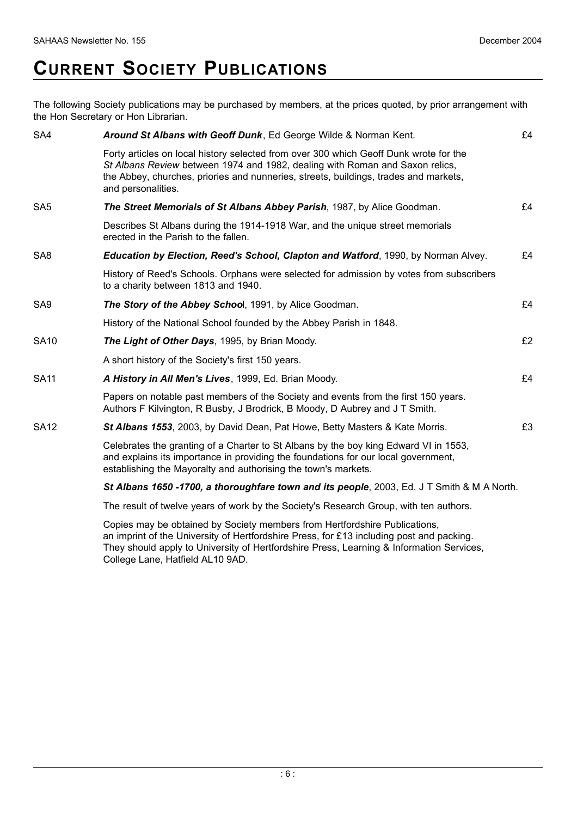## **CURRENT SOCIETY PUBLICATIONS**

The following Society publications may be purchased by members, at the prices quoted, by prior arrangement with the Hon Secretary or Hon Librarian.

| SA4             | Around St Albans with Geoff Dunk, Ed George Wilde & Norman Kent.                                                                                                                                                                                                                    | £4 |
|-----------------|-------------------------------------------------------------------------------------------------------------------------------------------------------------------------------------------------------------------------------------------------------------------------------------|----|
|                 | Forty articles on local history selected from over 300 which Geoff Dunk wrote for the<br>St Albans Review between 1974 and 1982, dealing with Roman and Saxon relics,<br>the Abbey, churches, priories and nunneries, streets, buildings, trades and markets,<br>and personalities. |    |
| SA <sub>5</sub> | The Street Memorials of St Albans Abbey Parish, 1987, by Alice Goodman.                                                                                                                                                                                                             | £4 |
|                 | Describes St Albans during the 1914-1918 War, and the unique street memorials<br>erected in the Parish to the fallen.                                                                                                                                                               |    |
| SA <sub>8</sub> | <b>Education by Election, Reed's School, Clapton and Watford, 1990, by Norman Alvey.</b>                                                                                                                                                                                            | £4 |
|                 | History of Reed's Schools. Orphans were selected for admission by votes from subscribers<br>to a charity between 1813 and 1940.                                                                                                                                                     |    |
| SA <sub>9</sub> | The Story of the Abbey School, 1991, by Alice Goodman.                                                                                                                                                                                                                              | £4 |
|                 | History of the National School founded by the Abbey Parish in 1848.                                                                                                                                                                                                                 |    |
| <b>SA10</b>     | The Light of Other Days, 1995, by Brian Moody.                                                                                                                                                                                                                                      | £2 |
|                 | A short history of the Society's first 150 years.                                                                                                                                                                                                                                   |    |
| <b>SA11</b>     | A History in All Men's Lives, 1999, Ed. Brian Moody.                                                                                                                                                                                                                                | £4 |
|                 | Papers on notable past members of the Society and events from the first 150 years.<br>Authors F Kilvington, R Busby, J Brodrick, B Moody, D Aubrey and J T Smith.                                                                                                                   |    |
| <b>SA12</b>     | St Albans 1553, 2003, by David Dean, Pat Howe, Betty Masters & Kate Morris.                                                                                                                                                                                                         | £3 |
|                 | Celebrates the granting of a Charter to St Albans by the boy king Edward VI in 1553,<br>and explains its importance in providing the foundations for our local government,<br>establishing the Mayoralty and authorising the town's markets.                                        |    |
|                 |                                                                                                                                                                                                                                                                                     |    |

*St Albans 1650 -1700, a thoroughfare town and its people*, 2003, Ed. J T Smith & M A North.

The result of twelve years of work by the Society's Research Group, with ten authors.

Copies may be obtained by Society members from Hertfordshire Publications, an imprint of the University of Hertfordshire Press, for £13 including post and packing. They should apply to University of Hertfordshire Press, Learning & Information Services, College Lane, Hatfield AL10 9AD.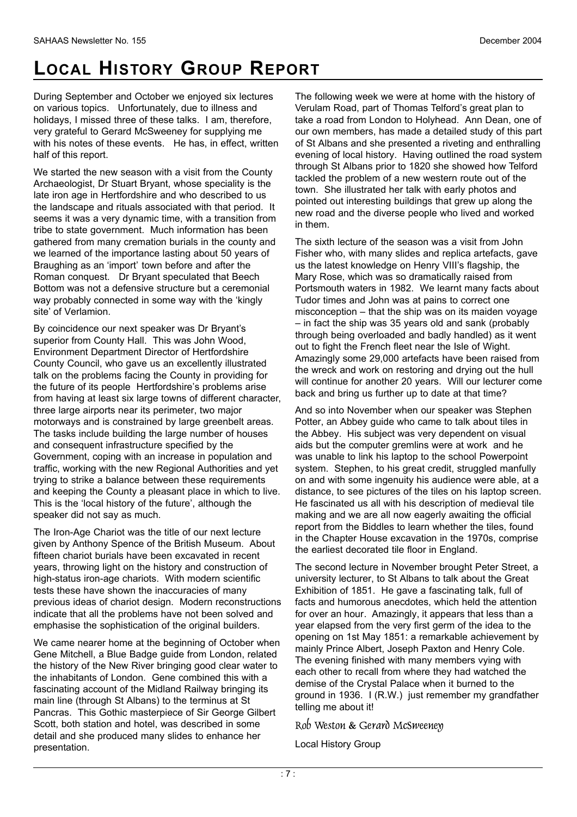# **LOCAL HISTORY GROUP REPORT**

During September and October we enjoyed six lectures on various topics. Unfortunately, due to illness and holidays, I missed three of these talks. I am, therefore, very grateful to Gerard McSweeney for supplying me with his notes of these events. He has, in effect, written half of this report.

We started the new season with a visit from the County Archaeologist, Dr Stuart Bryant, whose speciality is the late iron age in Hertfordshire and who described to us the landscape and rituals associated with that period. It seems it was a very dynamic time, with a transition from tribe to state government. Much information has been gathered from many cremation burials in the county and we learned of the importance lasting about 50 years of Braughing as an 'import' town before and after the Roman conquest. Dr Bryant speculated that Beech Bottom was not a defensive structure but a ceremonial way probably connected in some way with the 'kingly site' of Verlamion.

By coincidence our next speaker was Dr Bryant's superior from County Hall. This was John Wood, Environment Department Director of Hertfordshire County Council, who gave us an excellently illustrated talk on the problems facing the County in providing for the future of its people Hertfordshire's problems arise from having at least six large towns of different character, three large airports near its perimeter, two major motorways and is constrained by large greenbelt areas. The tasks include building the large number of houses and consequent infrastructure specified by the Government, coping with an increase in population and traffic, working with the new Regional Authorities and yet trying to strike a balance between these requirements and keeping the County a pleasant place in which to live. This is the 'local history of the future', although the speaker did not say as much.

The Iron-Age Chariot was the title of our next lecture given by Anthony Spence of the British Museum. About fifteen chariot burials have been excavated in recent years, throwing light on the history and construction of high-status iron-age chariots. With modern scientific tests these have shown the inaccuracies of many previous ideas of chariot design. Modern reconstructions indicate that all the problems have not been solved and emphasise the sophistication of the original builders.

We came nearer home at the beginning of October when Gene Mitchell, a Blue Badge guide from London, related the history of the New River bringing good clear water to the inhabitants of London. Gene combined this with a fascinating account of the Midland Railway bringing its main line (through St Albans) to the terminus at St Pancras. This Gothic masterpiece of Sir George Gilbert Scott, both station and hotel, was described in some detail and she produced many slides to enhance her presentation.

The following week we were at home with the history of Verulam Road, part of Thomas Telford's great plan to take a road from London to Holyhead. Ann Dean, one of our own members, has made a detailed study of this part of St Albans and she presented a riveting and enthralling evening of local history. Having outlined the road system through St Albans prior to 1820 she showed how Telford tackled the problem of a new western route out of the town. She illustrated her talk with early photos and pointed out interesting buildings that grew up along the new road and the diverse people who lived and worked in them.

The sixth lecture of the season was a visit from John Fisher who, with many slides and replica artefacts, gave us the latest knowledge on Henry VIII's flagship, the Mary Rose, which was so dramatically raised from Portsmouth waters in 1982. We learnt many facts about Tudor times and John was at pains to correct one misconception – that the ship was on its maiden voyage – in fact the ship was 35 years old and sank (probably through being overloaded and badly handled) as it went out to fight the French fleet near the Isle of Wight. Amazingly some 29,000 artefacts have been raised from the wreck and work on restoring and drying out the hull will continue for another 20 years. Will our lecturer come back and bring us further up to date at that time?

And so into November when our speaker was Stephen Potter, an Abbey guide who came to talk about tiles in the Abbey. His subject was very dependent on visual aids but the computer gremlins were at work and he was unable to link his laptop to the school Powerpoint system. Stephen, to his great credit, struggled manfully on and with some ingenuity his audience were able, at a distance, to see pictures of the tiles on his laptop screen. He fascinated us all with his description of medieval tile making and we are all now eagerly awaiting the official report from the Biddles to learn whether the tiles, found in the Chapter House excavation in the 1970s, comprise the earliest decorated tile floor in England.

The second lecture in November brought Peter Street, a university lecturer, to St Albans to talk about the Great Exhibition of 1851. He gave a fascinating talk, full of facts and humorous anecdotes, which held the attention for over an hour. Amazingly, it appears that less than a year elapsed from the very first germ of the idea to the opening on 1st May 1851: a remarkable achievement by mainly Prince Albert, Joseph Paxton and Henry Cole. The evening finished with many members vying with each other to recall from where they had watched the demise of the Crystal Palace when it burned to the ground in 1936. I (R.W.) just remember my grandfather telling me about it!

Rob Weston & Gerard McSweeney

Local History Group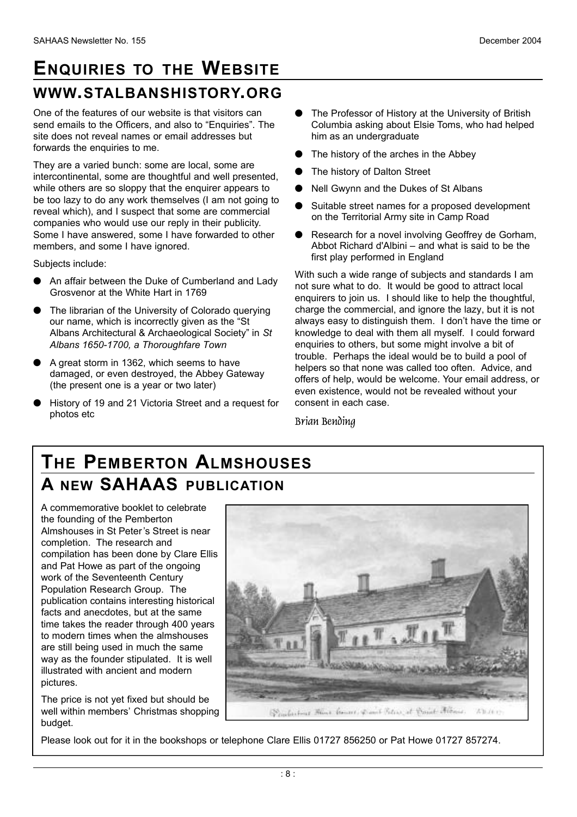### **ENQUIRIES TO THE WEBSITE** WWW.STALBANSHISTORY.ORG

One of the features of our website is that visitors can send emails to the Officers, and also to "Enquiries". The site does not reveal names or email addresses but forwards the enquiries to me.

They are a varied bunch: some are local, some are intercontinental, some are thoughtful and well presented, while others are so sloppy that the enquirer appears to be too lazy to do any work themselves (I am not going to reveal which), and I suspect that some are commercial companies who would use our reply in their publicity. Some I have answered, some I have forwarded to other members, and some I have ignored.

Subjects include:

- An affair between the Duke of Cumberland and Lady Grosvenor at the White Hart in 1769
- The librarian of the University of Colorado querying our name, which is incorrectly given as the "St Albans Architectural & Archaeological Society" in *St Albans 1650-1700, a Thoroughfare Town*
- A great storm in 1362, which seems to have damaged, or even destroyed, the Abbey Gateway (the present one is a year or two later)
- History of 19 and 21 Victoria Street and a request for photos etc
- **•** The Professor of History at the University of British Columbia asking about Elsie Toms, who had helped him as an undergraduate
- The history of the arches in the Abbey
- The history of Dalton Street
- Nell Gwynn and the Dukes of St Albans
- Suitable street names for a proposed development on the Territorial Army site in Camp Road
- Research for a novel involving Geoffrey de Gorham, Abbot Richard d'Albini – and what is said to be the first play performed in England

With such a wide range of subjects and standards I am not sure what to do. It would be good to attract local enquirers to join us. I should like to help the thoughtful, charge the commercial, and ignore the lazy, but it is not always easy to distinguish them. I don't have the time or knowledge to deal with them all myself. I could forward enquiries to others, but some might involve a bit of trouble. Perhaps the ideal would be to build a pool of helpers so that none was called too often. Advice, and offers of help, would be welcome. Your email address, or even existence, would not be revealed without your consent in each case.

Brian Bending

### **THE PEMBERTON ALMSHOUSES A** NEW SAHAAS PUBLICATION

A commemorative booklet to celebrate the founding of the Pemberton Almshouses in St Peter's Street is near completion. The research and compilation has been done by Clare Ellis and Pat Howe as part of the ongoing work of the Seventeenth Century Population Research Group. The publication contains interesting historical facts and anecdotes, but at the same time takes the reader through 400 years to modern times when the almshouses are still being used in much the same way as the founder stipulated. It is well illustrated with ancient and modern pictures.

The price is not yet fixed but should be well within members' Christmas shopping budget.



Please look out for it in the bookshops or telephone Clare Ellis 01727 856250 or Pat Howe 01727 857274.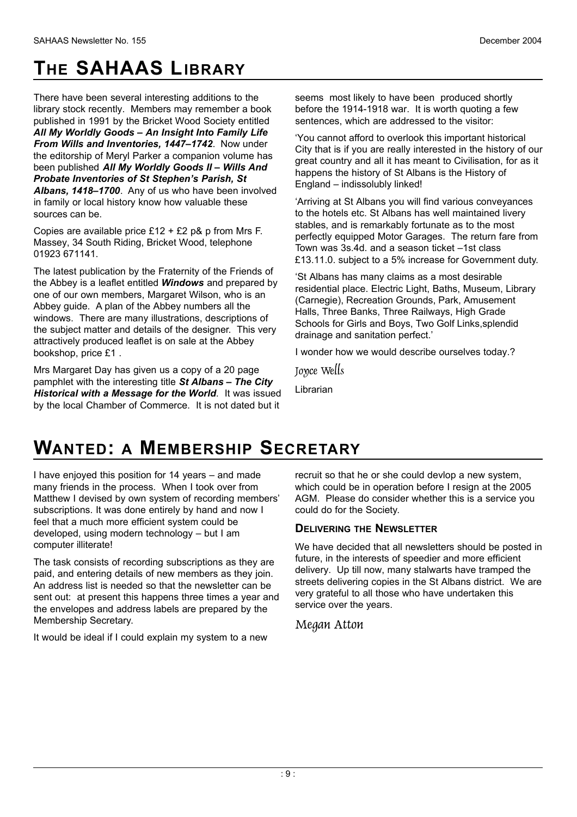# **THE SAHAAS LIBRARY**

There have been several interesting additions to the library stock recently. Members may remember a book published in 1991 by the Bricket Wood Society entitled *All My Worldly Goods – An Insight Into Family Life From Wills and Inventories, 1447–1742*. Now under the editorship of Meryl Parker a companion volume has been published *All My Worldly Goods II – Wills And Probate Inventories of St Stephen's Parish, St Albans, 1418–1700*. Any of us who have been involved in family or local history know how valuable these sources can be.

Copies are available price £12 + £2 p& p from Mrs F. Massey, 34 South Riding, Bricket Wood, telephone 01923 671141.

The latest publication by the Fraternity of the Friends of the Abbey is a leaflet entitled *Windows* and prepared by one of our own members, Margaret Wilson, who is an Abbey guide. A plan of the Abbey numbers all the windows. There are many illustrations, descriptions of the subject matter and details of the designer. This very attractively produced leaflet is on sale at the Abbey bookshop, price £1 .

Mrs Margaret Day has given us a copy of a 20 page pamphlet with the interesting title *St Albans – The City Historical with a Message for the World*. It was issued by the local Chamber of Commerce. It is not dated but it

seems most likely to have been produced shortly before the 1914-1918 war. It is worth quoting a few sentences, which are addressed to the visitor:

'You cannot afford to overlook this important historical City that is if you are really interested in the history of our great country and all it has meant to Civilisation, for as it happens the history of St Albans is the History of England – indissolubly linked!

'Arriving at St Albans you will find various conveyances to the hotels etc. St Albans has well maintained livery stables, and is remarkably fortunate as to the most perfectly equipped Motor Garages. The return fare from Town was 3s.4d. and a season ticket –1st class £13.11.0. subject to a 5% increase for Government duty.

'St Albans has many claims as a most desirable residential place. Electric Light, Baths, Museum, Library (Carnegie), Recreation Grounds, Park, Amusement Halls, Three Banks, Three Railways, High Grade Schools for Girls and Boys, Two Golf Links,splendid drainage and sanitation perfect.'

I wonder how we would describe ourselves today.?

Joyce Wells

Librarian

### **WANTED: A MEMBERSHIP SECRETARY**

I have enjoyed this position for 14 years – and made many friends in the process. When I took over from Matthew I devised by own system of recording members' subscriptions. It was done entirely by hand and now I feel that a much more efficient system could be developed, using modern technology – but I am computer illiterate!

The task consists of recording subscriptions as they are paid, and entering details of new members as they join. An address list is needed so that the newsletter can be sent out: at present this happens three times a year and the envelopes and address labels are prepared by the Membership Secretary.

It would be ideal if I could explain my system to a new

recruit so that he or she could devlop a new system, which could be in operation before I resign at the 2005 AGM. Please do consider whether this is a service you could do for the Society.

#### **DELIVERING THE NEWSLETTER**

We have decided that all newsletters should be posted in future, in the interests of speedier and more efficient delivery. Up till now, many stalwarts have tramped the streets delivering copies in the St Albans district. We are very grateful to all those who have undertaken this service over the years.

Megan Atton